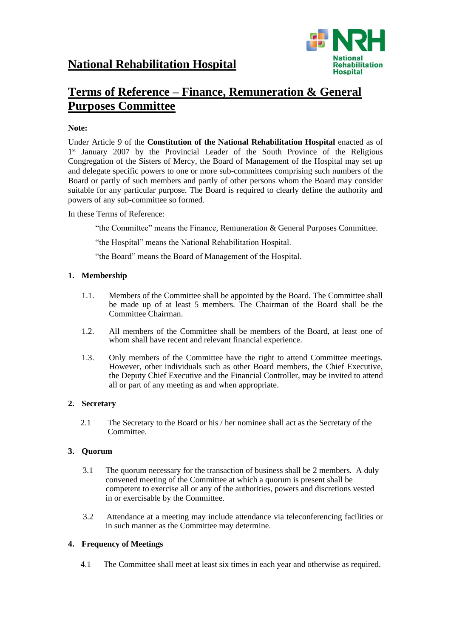

# **Terms of Reference – Finance, Remuneration & General Purposes Committee**

# **Note:**

Under Article 9 of the **Constitution of the National Rehabilitation Hospital** enacted as of 1<sup>st</sup> January 2007 by the Provincial Leader of the South Province of the Religious Congregation of the Sisters of Mercy, the Board of Management of the Hospital may set up and delegate specific powers to one or more sub-committees comprising such numbers of the Board or partly of such members and partly of other persons whom the Board may consider suitable for any particular purpose. The Board is required to clearly define the authority and powers of any sub-committee so formed.

In these Terms of Reference:

"the Committee" means the Finance, Remuneration & General Purposes Committee.

"the Hospital" means the National Rehabilitation Hospital.

"the Board" means the Board of Management of the Hospital.

## **1. Membership**

- 1.1. Members of the Committee shall be appointed by the Board. The Committee shall be made up of at least 5 members. The Chairman of the Board shall be the Committee Chairman.
- 1.2. All members of the Committee shall be members of the Board, at least one of whom shall have recent and relevant financial experience.
- 1.3. Only members of the Committee have the right to attend Committee meetings. However, other individuals such as other Board members, the Chief Executive, the Deputy Chief Executive and the Financial Controller, may be invited to attend all or part of any meeting as and when appropriate.

# **2. Secretary**

 2.1 The Secretary to the Board or his / her nominee shall act as the Secretary of the Committee.

# **3. Quorum**

- 3.1 The quorum necessary for the transaction of business shall be 2 members. A duly convened meeting of the Committee at which a quorum is present shall be competent to exercise all or any of the authorities, powers and discretions vested in or exercisable by the Committee.
- 3.2 Attendance at a meeting may include attendance via teleconferencing facilities or in such manner as the Committee may determine.

# **4. Frequency of Meetings**

4.1 The Committee shall meet at least six times in each year and otherwise as required.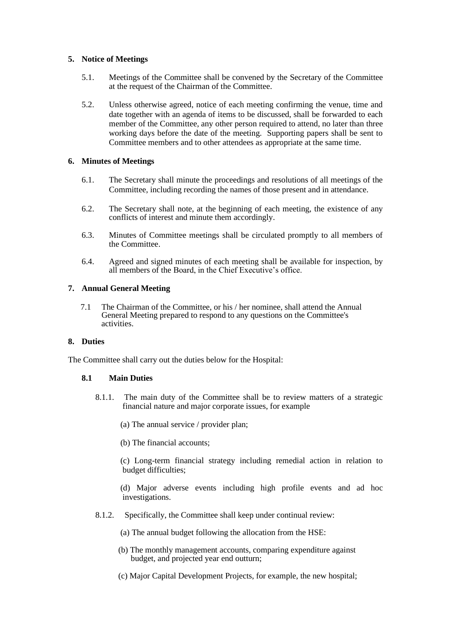#### **5. Notice of Meetings**

- 5.1. Meetings of the Committee shall be convened by the Secretary of the Committee at the request of the Chairman of the Committee.
- 5.2. Unless otherwise agreed, notice of each meeting confirming the venue, time and date together with an agenda of items to be discussed, shall be forwarded to each member of the Committee, any other person required to attend, no later than three working days before the date of the meeting. Supporting papers shall be sent to Committee members and to other attendees as appropriate at the same time.

#### **6. Minutes of Meetings**

- 6.1. The Secretary shall minute the proceedings and resolutions of all meetings of the Committee, including recording the names of those present and in attendance.
- 6.2. The Secretary shall note, at the beginning of each meeting, the existence of any conflicts of interest and minute them accordingly.
- 6.3. Minutes of Committee meetings shall be circulated promptly to all members of the Committee.
- 6.4. Agreed and signed minutes of each meeting shall be available for inspection, by all members of the Board, in the Chief Executive's office.

## **7. Annual General Meeting**

 7.1 The Chairman of the Committee, or his / her nominee, shall attend the Annual General Meeting prepared to respond to any questions on the Committee's activities.

#### **8. Duties**

The Committee shall carry out the duties below for the Hospital:

# **8.1 Main Duties**

- 8.1.1. The main duty of the Committee shall be to review matters of a strategic financial nature and major corporate issues, for example
	- (a) The annual service / provider plan;
	- (b) The financial accounts;

 (c) Long-term financial strategy including remedial action in relation to budget difficulties;

 (d) Major adverse events including high profile events and ad hoc investigations.

- 8.1.2. Specifically, the Committee shall keep under continual review:
	- (a) The annual budget following the allocation from the HSE:
	- (b) The monthly management accounts, comparing expenditure against budget, and projected year end outturn;
	- (c) Major Capital Development Projects, for example, the new hospital;